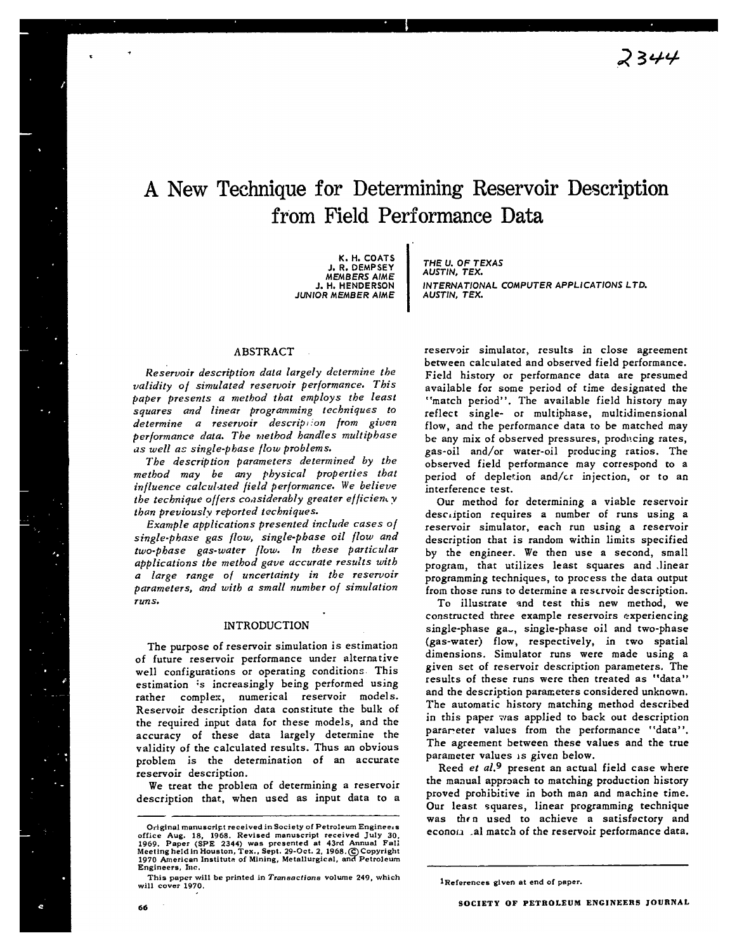# A New Technique for Determining Reservoir Description from Field Performance Data

**I**

**K. H. COATS J. R. DEMPSEY MEMBERS A/ME J. H. HENDERSON JUNIOR MEMBER AIME**

# ABSTRACT

*Reservoir description data largely determine the validity of simulated reservoir performance. This paper presents a method that employs the least squares and linear programming techniques to determine a reservoir descrip I/on from given performance data. The method* handles *multipbase as well as single-phase flow problems.*

*The description parameters determined by the method may be any physical properties that iniluence calcul.~ted field performance. We believe the technique offers considerably greater efficiency than previously reported techniques.* 

*Example applications presented include cases of single-phase gas {low, single-phase oil flow and two-phase gas-water flow. In these particular applications the method gave accurate results with a laTge range of uncertainty in the reservoir parameters, and with a small number of simulation runs.*

## INTRODUCTION

The purpose of reservoir simulation is estimation of future reservoir performance under alternative well configurations or operating conditions. This estimation is increasingly being performed using rather complex, numerical reservoir models. Reservoir description data constitute the bulk of the required input data for these models, and the accuracy of these data largely determine the validity of the calculated results. Thus an obvious problem is the determination of an accurate reservoir description.

We treat the problem of determining a reservoir description that, when used as input data to a

**THE U. OF TEXAS AUSTIN, TEX. INTERNATIONAL COMPUTER APPLICATIONS LTD. AUSTIN, TEX.**

**reserv9ir simulator, results in close agreement** between calculated and observed field performance. Field history or performance data are presumed available for **some** period of time designated the "match period". The available field history may reflect single- or mulciphase, multidimensional flow, and the performance data to be matched may be any mix of observed pressures, producing rates, gas-oil and/or water-oil producing ratios. The observed field performance may correspond to a period of depletion and/cr injection, or to an interference test.

*Our* method for determining a viable reservoir description requires a number of runs using a reservoir simulator, each run using a reservoir description that is random within limits specified by the engineer. We then use a second, small program, that utilizes least squares and linear programming techniques, to process the data output from those runs to determine a reservoir description.

To illustrate and test this new method, we constructed three example reservoirs experiencing single-phase ga-, single-phase oil and two-phase (gas-water) flow, respectively, in two spatial dimensions. Simulator runs were made using a given set of reservoir description parameters. The results of these runs were then treated as "data" and the description parameters considered unknown, The automatic history matching method described in this paper was applied to back out description parareter values from the performance ''data". The agreement between these values and the true parameter values is given below.

Reed *et al.*<sup>9</sup> present an actual field case where the maaual appraach to matching production history proved prohibitive in both man and machine time. Our least squares, linear programming technique was then used to achieve a satisfactory and econom al match of the reservoir performance data.

1References given at end of paper.

\*

**Original manuscript received in Society of Petroleum Enginee. s** office Aug. 18, 1968. Revised manuscript received July 30,<br>1969. Paper (SPE 2344) was presented at 43rd Annual Fall<br>Meetingheidin:Houston,Tex.,Sept. 29-Oct. 2, 1968.© Copyright **1970 American Institute of Mining, Metallurgical, anQ Petroleum Engineers, Inc.**

**This paper will be printed in Transactions volume 249, which will cover 1970.**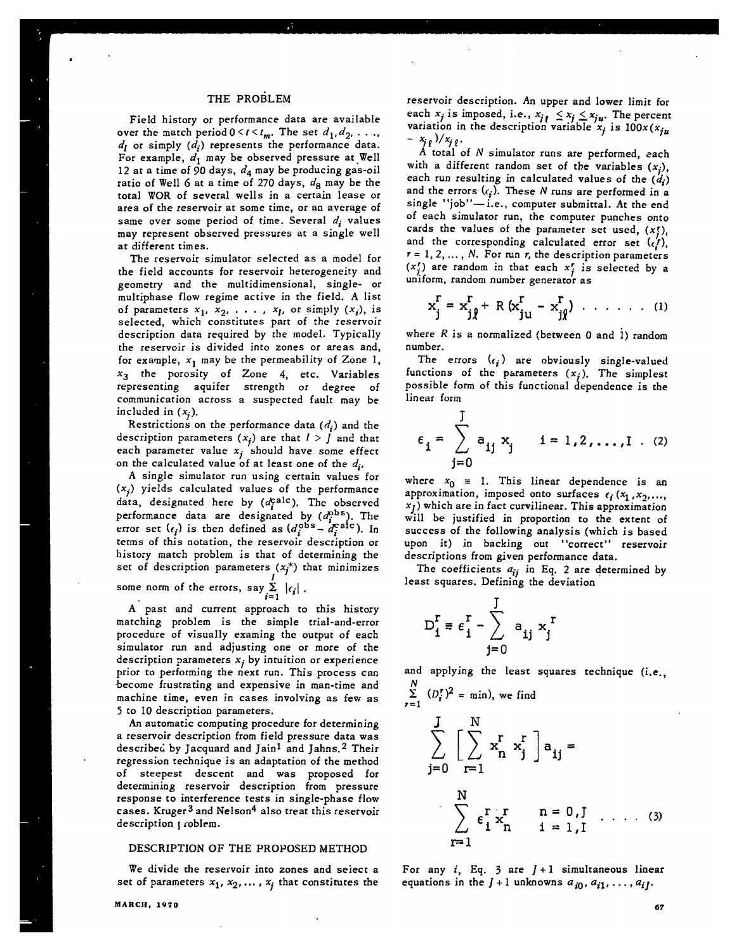# THE PROBLEM

s

Field history or performance data are available *over* the match period  $0 \le t \le t_m$ . The set  $d_1, d_2, \ldots$ , *dl* or simply *(di)* represents the performance data. For example,  $d_1$  may be observed pressure at Well 12 at a time of 90 days,  $d_4$  may be producing gas-oil ratio of Well 6 at a time of 270 days,  $d_8$  may be the total WOR of several wells in a certain lease or area of the reservoir at some time, or an average of same over some period of time. Several *di* values may represent observed pressures at a single well at different times.

The reservoir simulator selected as a model for the field accounts for reservoir heterogeneity and geometry and the multidimensional, single- or multiphase flow regime active in the field. A list of parameters  $x_1$ ,  $x_2$ , ...,  $x_l$ , or simply  $(x_i)$ , is selected, which constitutes part of the reservoir description data required by the model. Typically the reservoir is divided into zones or areas and, for example,  $x_1$  may be the permeability of Zone 1,  $x_3$  the porosity of Zone 4, etc. Variables representing aquifer strength or degree of communication across a suspected fault may be included in  $(x_i)$ .

Restrictions on the performance data  $(d_i)$  and the description parameters  $(x_j)$  are that  $1 > J$  and that each parameter value  $x_j$  should have some effect on the calculated value of at least one of the *d<sub>i</sub>*.

A single simuIator run using certain values for  $(x_j)$  yields calculated values of the performance data, designated here by  $(d_i^{\text{calc}})$ . The observed performance data are designated by  $(d_i^{\text{obs}})$ . The error set  $(e_i)$  is then defined as  $(d_i^{obs} - d_i^{calc})$ . In terms of this notation, the reservoir description or history match problem is that of determining the set of description parameters  $(x_j^*)$  that minimizes some norm of the errors, say  $\sum_{i=1}^{n} |\epsilon_i|$ .

A" past and current approach to this history matching problem is the simple trial-and-error procedure of visually examing the output of each simulator run and adjusting one or more of the description parameters  $x_j$  by intuition or experience prior to performing the next run. This process can become frustrating and expensive in man-time and machine time, even in cases involving as few as 5 to 10 description parameters.

An automatic computing procedure for determining a reservoir description from field pressure data was described by Jacquard and Jain<sup>1</sup> and Jahns.<sup>2</sup> Their regression technique is an adaptation of the method of steepest descent and was proposed for determining reservoir description from pressure response to interference tests in single-phase flow cases. Kruger<sup>3</sup> and Nelson<sup>4</sup> also treat this reservoir description  $\mathfrak{p}$  roblem.

## DESCRIPTION OF THE PROPOSED METHOD

We divide the reservoir into zones and seiect a set of parameters  $x_1, x_2, \ldots, x_j$  that constitutes the reservoir description. An upper and lower limit for each  $x_j$  is imposed, i.e.,  $x_{j_\theta} \leq x_j \leq x_{j_\theta}$ . The perce variation in the description variable  $x_i$  is  $100x(x)$  $x_{i\ell}$ )/ $x_{i\ell}$ .

A total of N simulator runs are performed, each with a different random set of the variables  $(x_j)$ , each run resulting in calculated values of the *(di)* and the errors  $(c_i)$ . These N runs are performed in a  $single$  "job" $-i.e.,$  computer submittal. At the end of each simulator run, the computer punches onto cards the values of the parameter set used,  $(x<sub>i</sub><sup>t</sup>)$ , and the corresponding calculated error set  $(c_i^r)$ ,  $r = 1, 2, \ldots, N$ . For run r, the description parameters  $(x<sub>j</sub>)$  are random in that each  $x<sub>j</sub>$  is selected by a<br> $x<sub>j</sub>$  form reader sumber access  $x<sub>j</sub>$ uniform, random number generator as

$$
x_j^{\Gamma} = x_{j\hat{j}}^{\Gamma} + R (x_{ju}^{\Gamma} - x_{j\hat{j}}^{\Gamma}) \cdot \cdot \cdot \cdot \cdot \cdot (1)
$$

where *R* is a normalized (between O and 1) random number.

The errors  $(\epsilon_i)$  are obviously single-valued functions of the parameters  $(x_j)$ . The simplest possible form of this functional dependence is the linear form

$$
\epsilon_{i} = \sum_{j=0}^{J} a_{ij} x_{j} \qquad i = 1, 2, ..., I \quad (2)
$$

where  $x_0 = 1$ . This linear dependence is an approximation, imposed onto surfaces  $\epsilon_i$  ( $x_1$ , $x_2$ ,..., **Xj )** which are in fact curvilinear. This approximation will be justified in proportion to the extent of success of the following analysis (which is based upon it) in backing out ''correct" reservoir descriptions from given performance data.

The coefficients  $a_{ij}$  in Eq. 2 are determined by least squares. Defining the deviation

$$
D_{i}^{r} \equiv \epsilon_{i}^{r} - \sum_{j=0}^{J} a_{ij} x_{j}^{r}
$$

and applying the least squares technique (i.e.,  $\overline{N}$ 

$$
\sum_{r=1}^{\infty} \frac{(D_i^r)^2}{r} = \min, \text{ we find}
$$
\n
$$
\sum_{j=0}^{J} \left[ \sum_{r=1}^{N} x_n^r x_j^r \right] a_{ij} =
$$
\n
$$
\sum_{r=1}^{N} \epsilon_i^r x_n^r \qquad n = 0, J \quad \dots \quad (3)
$$
\n
$$
r=1
$$

For any  $i$ , Eq. 3 are  $J+1$  simultaneous linear equations in the  $J+1$  unknowns  $a_{i0}$ ,  $a_{i1}$ , ...,  $a_{iJ}$ .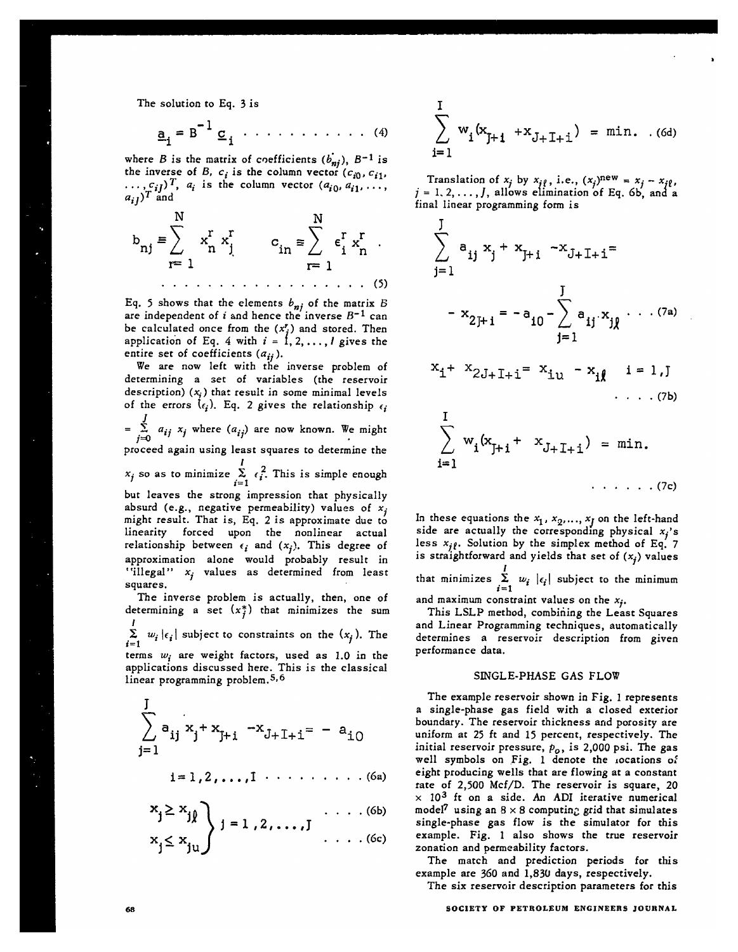The solution to Eq. 3 is

$$
\underline{a}_{i} = B^{-1} \underline{c}_{i} \cdot \cdot \cdot \cdot \cdot \cdot \cdot \cdot \cdot (4)
$$

where B is the matrix of coefficients  $(b_{ni})$ , B<sup>-1</sup> is the inverse of B,  $c_i$  is the column vector  $(c_{i0}, c_{i1},$  $\ldots, c_{ij}$ ,  $a_i$  is the column vector  $(a_{i0}, a_{i1}, \ldots, a_{i-1})$  $a_{if}$ )' and

N N **I I** b-xrxrc=rr nj = n j in 'i 'n o r=l 1=1 . . . . . . . . . . . . . . . . . . (5)

Eq. 5 shows that the elements  $b_{ni}$  of the matrix B **are independent of i and hence the inverse B-l can** be calculated once from the  $(x_i^r)$  and stored. Then application of Eq. 4 with  $i = 1, 2, \ldots, l$  gives the **entire** set of coefficients  $(a_{ij})$ .

**We are now left with the inverse problem of determining a set of variables (the reservoir** description)  $(x_j)$  that result in some minimal levels of the errors  $(e_i)$ . Eq. 2 gives the relationship  $e_i$  $=\sum_{i=1}^{J} a_{ij} x_i$  where  $(a_{ij})$  are now known. We might  $j=0$  . The set of  $\alpha$  is the set of  $\alpha$ proceed again using least squares to determine the I  $x_j$  so as to minimize  $\sum_{i=1} c_i$ . This is simple enoughbut leaves the strong impression that physically absurd (e.g., negative permeability) values of  $x_i$ might result. That is, Eq. 2 is approximate due to linearity forced upon the nonlinear actual relationship between  $\epsilon_i$  and  $(x_i)$ . This degree of approximation alone would probably result in "illegal" xj values **as** determined from least squares.

The inverse problem is actually, then, one of determining a set  $(x_i^*)$  that minimizes the sum 1

 $\sum_{i=1}^{\infty} w_i |\epsilon_i|$  subject to constraints on the  $(x_j)$ . The terms  $w_i$  are weight factors, used as 1.0 in the

applications discussed here. This is the classic linear programming problem.<sup>5,6</sup>

$$
\sum_{j=1}^{J} a_{ij} x_j + x_{j+1} - x_{J+1+1} = - a_{i0}
$$

$$
i=1,2,\ldots,1\cdots\cdots\cdots\cdots(6a)
$$

$$
\begin{aligned}\n x_j &\geq x_j \\
x_j &\leq x_j \\
\end{aligned}\n \quad \text{if } i = 1, 2, \ldots, J \quad (6b)
$$

$$
\sum_{i=1}^{I} w_i (x_{J+1} + x_{J+1+1}) = \min. \quad . \quad (6d)
$$

Translation of  $x_j$  by  $x_{i\ell}$ , i.e.,  $(x_j)^{new} = x_j - x_{i\ell}$  $j=1, 2, \ldots, J$ , allows elimination of Eq. 6b, and a final linear programming form is

$$
\sum_{j=1}^{J} a_{ij} x_{j} + x_{J+1} - x_{J+1+1} =
$$
\n
$$
- x_{2J+1} = -a_{10} - \sum_{j=1}^{J} a_{ij} x_{j} \cdots (7a)
$$
\n
$$
x_{i} + x_{2J+1+1} = x_{iu} - x_{i} \qquad i = 1, J
$$
\n
$$
\cdots (7b)
$$
\n
$$
\sum_{i=1}^{I} w_{i} (x_{J+1} + x_{J+1+1}) = \min.
$$
\n
$$
\cdots \cdots (7c)
$$

In these equations the  $x_1, x_2,..., x_j$  on the left-hand side are actually the corresponding physical  $x_j$ 's less  $x_{j\ell}$ . Solution by the simplex method of Eq. 7 is straightforward and yields that set of  $(x_i)$  values I that minimizes  $\sum_{i=1} w_i |\epsilon_i|$  subject to the minimum and maximum constraint values on the  $x_j$ .

This LSLP method, combining the Least Squares and Linear Programming techniques, automatically determines a reservoir description from given performance data.

# SINGLE-PHASE GAS FLOW

The example reservoir shown in Fig. I represents a single-phase gas field with a closed exterior boundary. The reservoir thickness and porosity are uniform at 25 ft and 15 percent, respectively. The initial reservoir pressure,  $p_o$ , is 2,000 psi. The gas well symbols on Fig. 1 denote the locations of eight producing wells that are flowing at a constant rate of 2,500 Mcf/D. The reservoir is square, 20  $\times$  10<sup>3</sup> ft on a side. An ADI iterative numerical model<sup>7</sup> using an  $8 \times 8$  computing grid that simulates single-phase gas flow is the simulator for this example. Fig. 1 also shows the true reservoir zonation and permeability factors.

The match and prediction periods for this example are 360 and 1,830 days, respectively.

The six reservoir description parameters for this

## 6a **SOCIETY OF PETROLEUM ENGINEERS JOURNAL**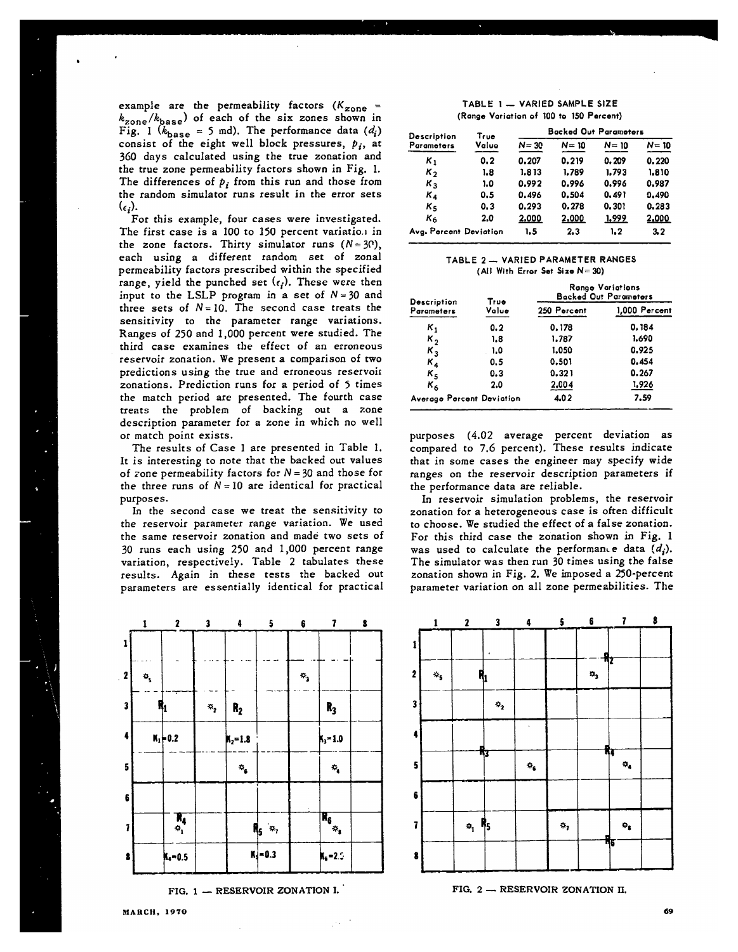example are the permeability factors *(Kzone =*  $k_{\text{zone}}/k_{\text{base}}$ ) of each of the six zones shown in Fig. 1 ( $k_{\text{base}}$  = 5 md). The performance data ( $d_i$ ) consist of the eight well block pressures,  $p_i$ , at 360 days calculated using the true zonation and the true zone permeability factors shown in Fig. 1. The differences of  $p_i$  from this run and those from the random simulator runs result in the error sets  $(\epsilon_i)$ .

.

For this example, four cases were investigated. The first case is a 100 to 150 percent variatio.1 in the zone factors. Thirty simulator runs  $(N=30)$ , each using a different random set of zonal permeability factors prescribed within the specified range, yield the punched set  $(\epsilon_i)$ . These were then input to the LSLP program in a set of  $N = 30$  and three sets of  $N = 10$ . The second case treats the sensitivity to the parameter range variations. Ranges of 250 and 1,000 percent were studied. The third case examines the effect of an erroneous reservoir zonation. We present a comparison of two predictions using the tme and erroneous reservoit zonations. Prediction runs for a period of 5 times the match period arc presented. The fourth case treats the problem of backing out a zone description parameter for a zone in which no well or match point exists.

The results of Case 1 are presented in Table 1. It is interesting to note that the backed **out values** of zone permeability factors for  $N = 30$  and those for the three runs of  $N = 10$  are identical for practical purposes.

In the second case we treat the sensitivity to the reservoir parameter range variation. We used the same reservoir zonation and made two sets of 30 runs each using 250 and 1,000 percent range variation, respectively. Table 2 tabulates these results. Again in these tests the backed out parameters are essentially identical for practical



FIG. 1 - RESERVOIR ZONATION I.

| Description            | True<br>Value | <b>Backed Out Parameters</b> |          |          |          |
|------------------------|---------------|------------------------------|----------|----------|----------|
| Parameters             |               | $N = 30$                     | $N = 10$ | $N = 10$ | $N = 10$ |
| $K_{1}$                | 0.2           | 0.207                        | 0.219    | 0.209    | 0.220    |
| $\kappa_{2}$           | 1.8           | 1.813                        | 1.789    | 1.793    | 1.810    |
| $K_{3}$                | 1.0           | 0.992                        | 0.996    | 0.996    | 0.987    |
| $K_{4}$                | 0.5           | 0.496                        | 0.504    | 0.491    | 0.490    |
| Κs                     | 0.3           | 0.293                        | 0.278    | 0.301    | 0.283    |
| K6                     | 2.0           | 2.000                        | 2,000    | 1.999    | 2.000    |
| Avg. Percent Deviation |               | 1.5                          | 2.3      | 1.2      | 3.2      |

### **TABLE 2- VARIED PARAMETER RANGES (All With Error Set Size N= 34))**

| Description               | True<br>Value | <b>Range Variations</b><br><b>Backed Out Parameters</b> |               |  |
|---------------------------|---------------|---------------------------------------------------------|---------------|--|
| Parameters                |               | 250 Percent                                             | 1,000 Percent |  |
| κ,                        | 0.2           | 0.178                                                   | 0.184         |  |
| κ,                        | 1.8           | 1.787                                                   | 1.690         |  |
| $K_{3}$                   | 1.0           | 1.050                                                   | 0.925         |  |
| $K_{4}$                   | 0.5           | 0.501                                                   | 0.454         |  |
| $\kappa_{\texttt{c}}$     | 0.3           | 0.321                                                   | 0.267         |  |
| $\kappa_{\mathfrak{a}}$   | 2.0           | 2.004                                                   | 1,926         |  |
| Average Percent Deviation |               | 4.02                                                    | 7.59          |  |

purposes (4.02 average percent deviation as compared to 7.6 percent). These results indicate that in some cases the engineer may specify wide ranges on the reservoir description parameters if the performance data **are** reliable.

In reservoir simulation problems, the reservoir zonation for a heterogeneous case is often difficult to choose. We studied the effect of a false zonation. For this third case the zonation shown in Fig. 1 was used to calculate the performance data  $(d_i)$ . The simulator was then run 30 times using the false zonation shown in Fig. 2. We imposed a 250-percent parameter variation on all zone permeabilities. The



**FIG. 2 — F!ESEFtVOIR ZONATION II.**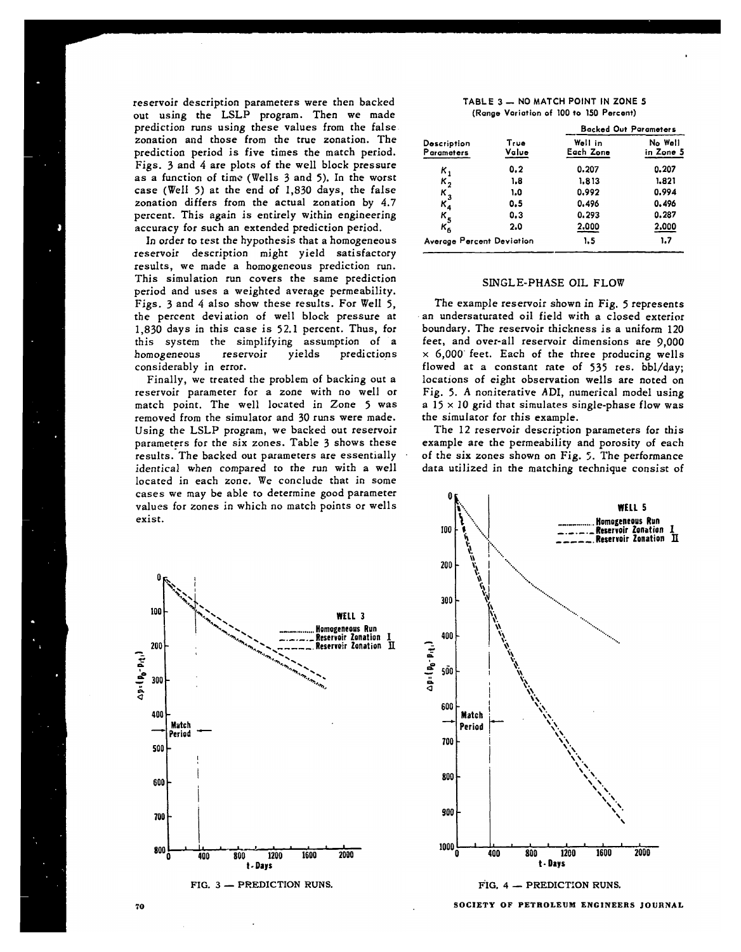reservoir description parameters were then backed out using the LSLP program. Then we made prediction runs using these values from the false zonation and those from the true zonation. The prediction period is five times the match period. Figs. 3 and 4 are plots of the well block pressure as a function of time (Wells 3 and 5). In the worst case (WelI 5) at the end of 1,830 days, the false zonation differs from the actual zonation by 4.7 percent. This again is entirely within engineering accuracy for such an extended prediction period.

In order to test the hypothesis that a homogeneous reservoir description might yield satisfactory results, we **made a homogeneous prediction run. This simulation** run covers the same prediction period and uses a weighted average permeability. Figs. 3 and 4 also show these results. For Well 5, the percent deviation of well block pressure at 1,830 days in this case is 52.1 percent. Thus, for this system the simplifying assumption of a homogeneous reservoir yields predictions considerably in error.

Finally, we treated the problem of backing out a reservoir parameter for a zone with no well or match point. The well located in Zone 5 was removed from the simulator and 30 runs were made. Using the LSLP program, we backed out reservoir parameters for the six zones. Table 3 shows these results. The backed out parameters are essentially identical when compared to the run with a well located in each zone. We conclude that in some cases we may be able to determine good parameter values for zones in which no match points or wells exist.



**FIG. 3 — PREDICTION RUNS.**

**TABLE 3 — NO MATCH POINT IN ZONE 5 (Range Variation of 100 to 150 Percent)**

|                             |               | <b>Backed Out Parameters</b> |                      |  |
|-----------------------------|---------------|------------------------------|----------------------|--|
| Description<br>Parameters   | True<br>Value | Well in<br>Each Zone         | No Well<br>in Zone 5 |  |
| κ,                          | 0.2           | 0.207                        | 0.207                |  |
| $\kappa_2^-$                | 1.8           | 1.813                        | 1.821                |  |
|                             | 1.0           | 0.992                        | 0.994                |  |
| $\frac{K_3}{K_4}$           | 0.5           | 0.496                        | 0.496                |  |
|                             | 0.3           | 0.293                        | 0.287                |  |
| $\frac{\kappa_5}{\kappa_6}$ | 2.0           | 2.000                        | 2,000                |  |
| Average Percent Deviation   |               | 1.5                          | 1.7                  |  |

# SINGLE-PHASE OIL FLOW

The example reservoir shown in Fig. 5 represents an undersaturated oil field with a closed exterior boundary, The reservoir thickness is a uniform 120 feet, and over-all reservoir dimensions are 9,000  $\times$  6,000 feet. Each of the three producing wells flowed at a constant rate of 535 res. bbl/day; locations of eight observation wells are noted on Fig. 5. A noniterative ADI, numerical model using a 15 x 10 grid that simulates single-phase flow *was* the simulator for this example.

The 12 reservoir description parameters for this example are the permeability and porosity of each of the six zones shown on Fig.  $5$ . The performance data utilized in the matching technique consist of



**FIG, 4 — PREDICTION** RUNS.

**SOCIETY OF PETROLEUM ENGINEERS JOURNAL**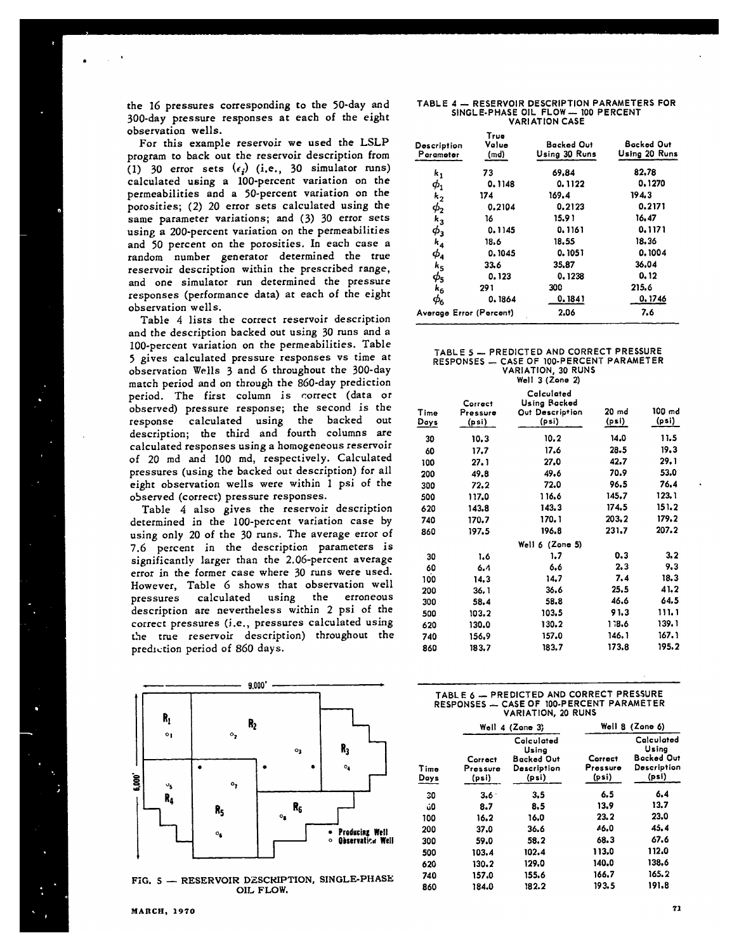the 16 pressures corresponding to the 50-day and 300-day pressure responses at each of the eight observation wells.

For this example reservoir we used the LSLP program to back out the reservoir description from (1) 30 error sets  $(\epsilon_i)$  (i.e., 30 simulator runs) calculated using a 100-percent variation on the permeabilities and a 50-percent variation on the porosities; (2) 20 error sets calculated using the same parameter variations; and (3) 30 error sets using a 200-percent variation on the permeabilities and 50 percent on the porosities. In each case a random number generator determined the true reservoir description within the prescribed range, and one simulator run determined the pressure responses (performance data) at each of the eight observation wells.

Table 4 lists the correct reservoir description and the description backed out using 30 runs and a 100-percent variation on the permeabilities. Table 5 gives calculated pressure responses vs time at observation Wells 3 and 6 throughout the 300-day match period and on through the 860-day prediction period. The first column is correct (data or observed) pressure response; the second is the calculated using the backed out description; the third and fourth columns are calculated responses using a homogeneous reservoir of 20 md and 100 md, respectively. Calculated pressures (using the backed out description) for all eight observation wells were within 1 psi of the observed (correct) pressure responses.

Table 4 also gives the reservoir description determined in the 100-percent variation case by using only 20 of the 30 runs. The average error of 7.6 percent in the description parameters is significantly larger than the 2.06-percent average error in the former case where 30 runs were used. However, Table 6 shows that observation well pressures calculated using the erroneous description are nevertheless within 2 psi of the correct pressures (i.e., pressures calculated using the true reservoir description) throughout the prediction period of 860 days.



FIG. 5 - RESERVOIR DESCRIPTION, SINGLE-PHASE OIL FLOW.

#### **TABLE 4 — RESERVOIR DESCRIPTION PARAMETERS FOR SINGLE-PHASE OIL FLOW — 100 PERCENT VARIATION CASE**

| Description<br>Parameter         | True<br>Value<br>(md) | Backed Out<br>Using 30 Runs | Backed Out<br>Using 20 Runs |
|----------------------------------|-----------------------|-----------------------------|-----------------------------|
| k,                               | 73                    | 69.84                       | 82.78                       |
| $\boldsymbol{\phi}_{\mathbf{1}}$ | 0.1148                | 0.1122                      | 0.1270                      |
| $k_{2}$                          | 174                   | 169.4                       | 194.3                       |
| $\phi_2$                         | 0.2104                | 0.2123                      | 0.2171                      |
| $k_{3}$                          | 16                    | 15.9 1                      | 16.47                       |
| $\phi_3$                         | 0.1145                | 0.1161                      | 0.1171                      |
| $k_{4}$                          | 18.6                  | 18.55                       | 18.36                       |
| $\boldsymbol{\phi}_\textbf{a}$   | 0.1045                | 0.1051                      | 0.1004                      |
| $k_{5}$                          | 33.6                  | 35.87                       | 36.04                       |
| $\phi_{\text{\tiny S}}$          | 0.123                 | 0.1238                      | 0.12                        |
| $k_{6}$                          | 291                   | 300                         | 215.6                       |
| $\phi_6$                         | 0.1864                | 0.1841                      | 0.1746                      |
| Average Error (Percent)          |                       | 2.06                        | 7.6                         |

#### **TABLE 5 — PREDICTED AND CORRECT PRESSURE RESPONSES - CASE OF 1OO-PERCENT PARAMETER VARIATlONj 30 RuNs Well 3 (Zone 2)**

| Time<br>Days | Correct<br>Pressure<br>(psi) | Calculated<br>Using Backed<br>Out Description<br>(psi) | $20$ md<br>(psi) | 100 md<br>(psi) |  |
|--------------|------------------------------|--------------------------------------------------------|------------------|-----------------|--|
| 30           | 10.3                         | 10.2                                                   | 14.0             | 11.5            |  |
| 60           | 17.7                         | 17.6                                                   | 28.5             | 19.3            |  |
| 100          | 27.1                         | 27.0                                                   | 42.7             | 29.1            |  |
| 200          | 49.8                         | 49.6                                                   | 70.9             | 53.0            |  |
| 300          | 72.2                         | 72.0                                                   | 96.5             | 76.4            |  |
| 500          | 117.0                        | 116.6                                                  | 145.7            | 123.1           |  |
| 620          | 143.8                        | 143.3                                                  | 174.5            | 151.2           |  |
| 740          | 170.7                        | 170.1                                                  | 203.2            | 179.2           |  |
| 860          | 197.5                        | 196.8                                                  | 231.7            | 207.2           |  |
|              |                              | Well $6$ (Zone 5)                                      |                  |                 |  |
| 30           | 1.6                          | 1.7                                                    | 0.3              | 3,2             |  |
| 60           | 6,4                          | 6.6                                                    | 2.3              | 9.3             |  |
| 100          | 14.3                         | 14.7                                                   | 7.4              | 18.3            |  |
| 200          | 36. 1                        | 36.6                                                   | 25.5             | 41.2            |  |
| 300          | 58.4                         | 58.8                                                   | 46.6             | 64.5            |  |
| 500          | 103.2                        | 103.5                                                  | 91.3             | 111.1           |  |
| 620          | 130.0                        | 130.2                                                  | 138.6            | 139. 1          |  |
| 740          | 156.9                        | 157.0                                                  | 146. 1           | 167. 1          |  |
| 860          | 183.7                        | 183.7                                                  | 173.8            | 195.2           |  |

| TABLE 6 - PREDICTED AND CORRECT PRESSURE  |
|-------------------------------------------|
| RESPONSES - CASE OF 100-PERCENT PARAMETER |
| VARIATION, 20 RUNS                        |

|                              | Well $4$ (Zone 3)                                                |                              | Well 8 (Zone 6)                                                  |  |
|------------------------------|------------------------------------------------------------------|------------------------------|------------------------------------------------------------------|--|
| Correct<br>Pressure<br>(psi) | Calculated<br>Using<br><b>Backed Out</b><br>Description<br>(psi) | Correct<br>Pressure<br>(psi) | Calculated<br>Using<br><b>Backed Out</b><br>Description<br>(psi) |  |
| $3.6 -$                      | 3.5                                                              | 6.5                          | 6.4                                                              |  |
| 8.7                          | 8.5                                                              | 13.9                         | 13.7                                                             |  |
| 16.2                         | 16.0                                                             | 23.2                         | 23.0                                                             |  |
| 37.0                         | 36.6                                                             | 46.0                         | 45.4                                                             |  |
| 59.0                         | 58.2                                                             | 68.3                         | 67.6                                                             |  |
| 103.4                        | 102.4                                                            | 113.0                        | 112.0                                                            |  |
| 130.2                        | 129.0                                                            | 140.0                        | 138.6                                                            |  |
| 157.0                        | 155.6                                                            | 166.7                        | 165.2                                                            |  |
| 184.0                        | 182.2                                                            | 193.5                        | 191.8                                                            |  |
|                              |                                                                  |                              |                                                                  |  |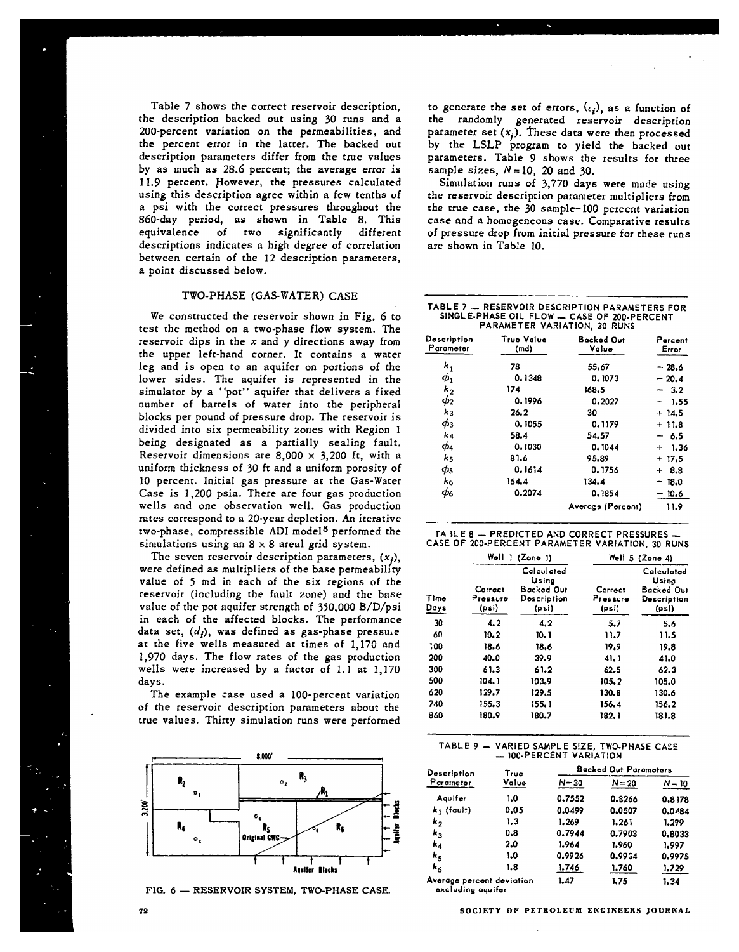Table 7 shows the correct reservoir description, the description backed out using 30 runs and a 200-percent variation on the permeabilities, and the percent error in the latter. The backed out description parameters differ from the true values by as much as 28.6 percent; the average error is 11.9 percent. However, the pressures calculated using this description agree within a few tenths of a psi with the correct pressures throughout the 860-day period, as shown in Table 8, This significantly different descriptions indicates a high degree of correlation between certain of the 12 description parameters, a point discussed below.

## TWO-PHASE (GAS-WATER) CASE

We constructed the reservoir shown in Fig, 6 to test the method on a two-phase flow system. The reservoir dips in the  $x$  and  $y$  directions away from the upper left-hand corner. It contains a water leg and is open to an aquifer on portions of the lower sides. The aquifer is represented in the simulator by a ''pot" aquifer that delivers a fixed number of barrels of water into the peripheral blocks per pound of pressure drop. The reservoir is divided into six permeability zones with Region 1 being designated as a partially sealing fault. Reservoir dimensions are  $8,000 \times 3,200$  ft, with a uniform thickness of 30 ft and a uniform porosity of 10 percent. Initial gas pressure at the Gas-Water Case is 1,200 psia. There are four gas production wells and one observation well. Gas production rates correspond to a 20-year depletion. An iterative two-phase, compressible ADI model<sup>8</sup> performed the simulations using an  $8 \times 8$  areal grid system.

The seven reservoir description parameters,  $(x_i)$ , were defined as multipliers of the base permeability value of 5 md in each of the six regions of the reservoir (including the fault zone) and the base value of the pot aquifer strength of **350,000** B/D/psi in each of the affected blocks. The performance data set,  $(d_i)$ , was defined as gas-phase pressule at the five wells measured at times of I, 170 and 1,970 days. The flow rates of the gas production wells were increased by a factor of 1.1 at 1,170 days.

The example case used a 100-percent variation of the reservoir description parameters about the true values. Thirty simulation runs were performed



FIG. **6 — RESERVOIR SYSTEM, TWO-PHASE CASE,**

to generate the set of errors,  $(\epsilon_i)$ , as a function of the randomly generated **reservoir description** parameter set  $(x_i)$ . These data were then processed by the LSLP program to yield the backed out parameters. Table 9 shows the results for three sample sizes,  $N = 10$ , 20 and 30.

Simulation runs of 3,770 days were made using the reservoir description parameter multipliers from the true case, the 30 sample- 100 percent variation case and a homogeneous case. Comparative results of pressure drop from initial pressure for these runs are shown in Table 10.

| TABLE 7 — RESERVOIR DESCRIPTION PARAMETERS FOR |
|------------------------------------------------|
| SINGLE-PHASE OIL FLOW - CASE OF 200-PERCENT    |
| PARAMETER VARIATION, 30 RUNS                   |
|                                                |

| Description<br>Parameter | True Value<br>(md) | Backed Out<br>Value | Percent<br>Error  |  |
|--------------------------|--------------------|---------------------|-------------------|--|
| $k_{1}$                  | 78                 | 55.67               | $-28.6$           |  |
| $\phi_1$                 | 0.1348             | 0.1073              | $-20.4$           |  |
| $k_{2}$                  | 174                | 168.5               | $-3.2$            |  |
| φ2                       | 0.1996             | 0.2027              | $+ 1.55$          |  |
| k <sub>3</sub>           | 26.2               | 30                  | $+14.5$           |  |
| $\phi_3$                 | 0.1055             | 0.1179              | $+11.8$           |  |
| k4                       | 58.4               | 54.57               | - 6.5             |  |
| ф4                       | 0.1030             | 0.1044              | 1.36<br>$\ddot{}$ |  |
| ks                       | 81.6               | 95.89               | $+17.5$           |  |
| $\phi_{5}$               | 0.1614             | 0.1756              | 8.8<br>$+$        |  |
| k <sub>6</sub>           | 164.4              | 134.4               | - 18.0            |  |
| $\phi_\mathrm{6}$        | 0.2074             | 0.1854              | $-10.6$           |  |
|                          |                    | Average (Percent)   | 11.9              |  |

| TA ILE 8 $-$ PREDICTED AND CORRECT PRESSURES $-$ |  |  |
|--------------------------------------------------|--|--|
| CASE OF 200-PERCENT PARAMETER VARIATION, 30 RUNS |  |  |

|              |                              | Well 1 (Zone 1)                                           |                              | Well 5 (Zone 4)                                           |  |  |
|--------------|------------------------------|-----------------------------------------------------------|------------------------------|-----------------------------------------------------------|--|--|
| Time<br>Days | Correct<br>Pressure<br>(psi) | Calculated<br>Using<br>Backed Out<br>Description<br>(psi) | Correct<br>Pressure<br>(psi) | Calculated<br>Usina<br>Backed Out<br>Description<br>(psi) |  |  |
| 30           | 4.2                          | 4.2                                                       | 5.7                          | 5.6                                                       |  |  |
| 60           | 10.2                         | 10.1                                                      | 11.7                         | 11.5                                                      |  |  |
| 00:          | 18.6                         | 18.6                                                      | 19.9                         | 19.8                                                      |  |  |
| 200          | 40.0                         | 39.9                                                      | 41.1                         | 41.0                                                      |  |  |
| 300          | 61.3                         | 61.2                                                      | 62.5                         | 62.3                                                      |  |  |
| 500          | 104.1                        | 103.9                                                     | 105.2                        | 105.0                                                     |  |  |
| 620          | 129.7                        | 129.5                                                     | 130.8                        | 130.6                                                     |  |  |
| 740          | 155.3                        | 155.1                                                     | 156.4                        | 156.2                                                     |  |  |
| 860          | 180.9                        | 180.7                                                     | 182.1                        | 181.8                                                     |  |  |

## **TABLE 9- VARIED SAMPLE SIZE, TWO. PHASE CACE — 100. PERCENT VARIATION**

| Description               | True<br>Value | <b>Backed Out Parameters</b> |          |          |  |
|---------------------------|---------------|------------------------------|----------|----------|--|
| Parameter                 |               | $N = 30$                     | $N = 20$ | $N = 10$ |  |
| Aquifer                   | 1.0           | 0.7552                       | 0.8266   | 0.8178   |  |
| $k_1$ (fault)             | 0.05          | 0.0499                       | 0.0507   | 0.0484   |  |
| k <sub>2</sub>            | 1.3           | 1.269                        | 1.26     | 1.299    |  |
| k,                        | 0.8           | 0.7944                       | 0.7903   | 0.8033   |  |
| k4                        | 2.0           | 1.964                        | 1.960    | 1,997    |  |
| $k_{S}$                   | 1.0           | 0.9926                       | 0.9934   | 0.9975   |  |
| k <sub>6</sub>            | 1.8           | 1.746                        | 1,760    | 1.729    |  |
| Average percent deviation |               | 1.47                         | 1.75     | 1.34     |  |

**excluding aquifer**

—..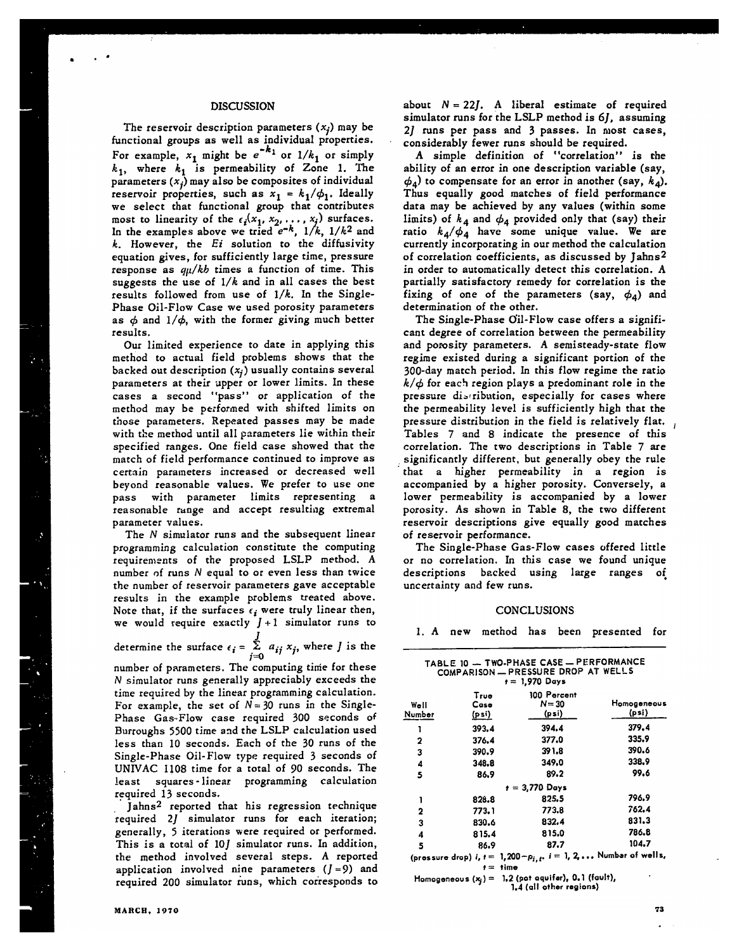## DISCUSSION

The reservoir description parameters  $(x_i)$  may be functional groups as well as individual propertie For example,  $x_1$  might be  $e^{-\kappa}$  or  $1/k_1$  or simply  $k_1$ , where  $k_1$  is permeability of Zone 1. The parameters  $(x_j)$  may also be composites of individual reservoir properties, such as  $x_1 = k_1/\phi_1$ . Ideally **we** select that functional group that contributes most to linearity of the  $\epsilon_i(x_1, x_2, \ldots, x_j)$  surface. In the examples above we tried  $e^{-\kappa}$ ,  $1/k$ ,  $1/k^2$  and *k.* However, the *Er'* solution to the diffusivity equation gives, for sufficiently large time, pressure response as  $q\mu/kb$  times a function of time. This suggests the use of *I/k* and in all cases the best results followed from use of *l/k.* In the Single-Phase Oil-Flow Case we used porosity parameters as  $\phi$  and  $1/\phi$ , with the former giving much better results.

Our limited experience to date in applying this method to actual field problems shows that the backed out description  $(x_j)$  usually contains several parameters at their upper or lower limits. In these cases a second "pass" or application of the method may be pe:formed with shifted limits on those parameters. Repeated passes may be made with the method until all parameters lie within their specified ranges. One field case showed that the match of field performance continued to improve as certain parameters increased or decreased well beyond reasonable values. We prefer to use one pass with parameter limits representing a reasonable range and accept resulting extremal parameter values.

The N simulator runs and the subsequent linear programming calculation constitute the computing requirements of the proposed LSLP method. A number of runs N equal to or even less than twice the number of reservoir parameters gave acceptable results in the example problems treated above. Note that, if the surfaces  $\epsilon_i$  were truly linear then, we would require exactly  $J+1$  simulator runs to determine the surface  $\epsilon_i = \sum_{i=1}^{J} a_{ij} x_i$ , where *J* is the

$$
x_j
$$
, where  $j$  is

 $\mathfrak{j}=\mathbb{C}$ number of parameters. The computing time for these N simulator runs generally appreciably exceeds the time required by the linear programming calculation. For example, the set of  $N = 30$  runs in the Single-Phase Gas.Flow case required 300 seconds **of** Burroughs 5500 time and the LSLP calculation used less than IO seconds. Each of the 30 runs of the Single-Phase Oil- Flow type required 3 seconds of UNIVAC 1108 time for a total of 90 seconds. The least squares-linear programming calculation required 13 seconds.

Jahns2 reported that his regression technique 'required 2J simulator runs for each iteration; generally, 5 iterations were required or performed. This is a total of 10J simulator runs. In addition, the method involved several steps. A reported application involved nine parameters  $(J=9)$  and required 200 simulator runs, which corresponds *to* about  $N = 22J$ . A liberal estimate of required simulator runs for the LSLP method is 6], assuming 2] runs per pass and 3 passes. In most cases, considerably fewer runs should be required.

A simple definition of "correlation" is the ability of an error **in** one description variable (say,  $\phi_4$ ) to compensate for an error in another (say,  $k_4$ ). Thus equally good matches of field performance data may be achieved by any values (within some limits) of  $k_4$  and  $\phi_4$  provided only that (say) their ratio  $k_4/\phi_4$  have some unique value. We are currently incorporating in our method the calculation of correlation coefficients, as discussed by Jahns<sup>2</sup> in order to automatically detect this correlation. A partially satisfactory remedy for correlation is the fixing of one of the parameters (say,  $\phi_4$ ) and determination of the other.

The Single-Phase Oil-Flow case offers a significant degree of correlation between the permeability and porosity parameters. A semisteady-state flow regime existed during a significant portion of the 300-day match period. In this flow regime the ratio  $k/\phi$  for each region plays a predominant role in the pressure distribution, especially for cases where the permeability level is sufficiently high that the pressure distribution in the field is relatively flat. Tables 7 and 8 indicate the presence of this correlation, The two descriptions in Table 7 are significantly different, but generally obey the rule that a higher permeability in a region is accompanied by a higher porosity. Conversely, a lower permeability is accompanied by a lower porosity. As shown in Table 8, the two different reservoir descriptions give equally good matches of reservoir performance.

The Single-Phase Gas-Flow cases offered little or no correlation. In this case we found unique descriptions backed using large ranges of uncertainty and few runs.

# CONCLUSIONS

1. A new method has been presented for

|                |                       | TABLE 10 - TWO-PHASE CASE - PERFORMANCE<br>COMPARISON - PRESSURE DROP AT WELLS<br>$t = 1.970$ Days |                      |
|----------------|-----------------------|----------------------------------------------------------------------------------------------------|----------------------|
| Well<br>Number | Truo<br>Case<br>(psi) | 100 Percent<br>$N = 30$<br>(psi)                                                                   | Homogeneous<br>(psi) |
| 1              | 393.4                 | 394.4                                                                                              | 379.4                |
| 2              | 376.4                 | 377.0                                                                                              | 335.9                |
| 3              | 390.9                 | 391.8                                                                                              | 390.6                |
| 4              | 348.8                 | 349.0                                                                                              | 338.9                |
| 5              | 86.9                  | 89.2                                                                                               | 99.6                 |
|                |                       | $t = 3.770$ Days                                                                                   |                      |
| 1              | 828.8                 | 825.5                                                                                              | 796.9                |
| 2              | 773.1                 | 773.8                                                                                              | 762.4                |
| 3              | 830.6                 | 832.4                                                                                              | 831.3                |
| 4              | 815.4                 | 815.0                                                                                              | 786.8                |
| 5              | 86.9                  | 87.7                                                                                               | 104.7                |
|                |                       | (pressure drop) $i, t = 1,200 - \rho_{i_1,t_1}$ , $i = 1, 2, $ Number of wells,                    |                      |

**t= time**

**Homogeneous (~) = 1.2 (pot oquifar), 0.1 (fault), - 1.4 (all other regions)**